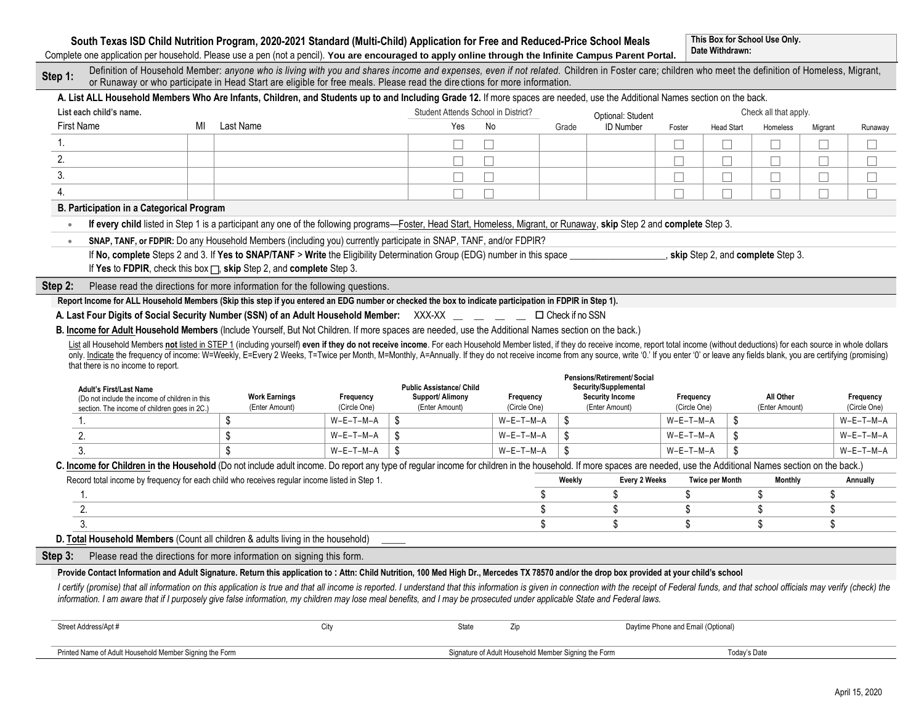## **South Texas ISD Child Nutrition Program, 2020-2021 Standard (Multi-Child) Application for Free and Reduced-Price School Meals**

**This Box for School Use Only. Date Withdrawn:**

Complete one application per household. Please use a pen (not a pencil). **You are encouraged to apply online through the Infinite Campus Parent Portal.**

| Step 1:           |                                                         | Definition of Household Member: anyone who is living with you and shares income and expenses, even if not related. Children in Foster care; children who meet the definition of Homeless, Migrant,<br>or Runaway or who participate in Head Start are eligible for free meals. Please read the directions for more information. |                                   |                                     |                                                      |        |                                                     |                                    |                        |                                   |         |                             |
|-------------------|---------------------------------------------------------|---------------------------------------------------------------------------------------------------------------------------------------------------------------------------------------------------------------------------------------------------------------------------------------------------------------------------------|-----------------------------------|-------------------------------------|------------------------------------------------------|--------|-----------------------------------------------------|------------------------------------|------------------------|-----------------------------------|---------|-----------------------------|
|                   |                                                         | A. List ALL Household Members Who Are Infants, Children, and Students up to and Including Grade 12. If more spaces are needed, use the Additional Names section on the back.                                                                                                                                                    |                                   |                                     |                                                      |        |                                                     |                                    |                        |                                   |         |                             |
|                   | List each child's name.                                 |                                                                                                                                                                                                                                                                                                                                 |                                   | Student Attends School in District? |                                                      |        | Optional: Student                                   |                                    |                        | Check all that apply.             |         |                             |
| <b>First Name</b> |                                                         | Last Name<br>МI                                                                                                                                                                                                                                                                                                                 |                                   | Yes                                 | <b>No</b>                                            | Grade  | <b>ID Number</b>                                    | Foster                             | <b>Head Start</b>      | Homeless                          | Migrant | Runaway                     |
| 1.                |                                                         |                                                                                                                                                                                                                                                                                                                                 |                                   | П<br>П                              |                                                      |        |                                                     | $\vert \ \ \vert$                  | $\mathbf{L}$           |                                   |         |                             |
| 2.                |                                                         |                                                                                                                                                                                                                                                                                                                                 |                                   | П<br>П                              |                                                      |        |                                                     | П                                  | Г                      |                                   |         |                             |
| 3.                |                                                         |                                                                                                                                                                                                                                                                                                                                 |                                   | П<br>П                              |                                                      |        |                                                     | П                                  | П                      | П                                 |         |                             |
| $\overline{4}$ .  |                                                         |                                                                                                                                                                                                                                                                                                                                 |                                   | П<br>П                              |                                                      |        |                                                     |                                    | П                      |                                   |         | П                           |
|                   | <b>B. Participation in a Categorical Program</b>        |                                                                                                                                                                                                                                                                                                                                 |                                   |                                     |                                                      |        |                                                     |                                    |                        |                                   |         |                             |
|                   |                                                         | If every child listed in Step 1 is a participant any one of the following programs-Foster, Head Start, Homeless, Migrant, or Runaway, skip Step 2 and complete Step 3.                                                                                                                                                          |                                   |                                     |                                                      |        |                                                     |                                    |                        |                                   |         |                             |
|                   |                                                         | SNAP, TANF, or FDPIR: Do any Household Members (including you) currently participate in SNAP, TANF, and/or FDPIR?                                                                                                                                                                                                               |                                   |                                     |                                                      |        |                                                     |                                    |                        |                                   |         |                             |
|                   |                                                         | If No, complete Steps 2 and 3. If Yes to SNAP/TANF > Write the Eligibility Determination Group (EDG) number in this space                                                                                                                                                                                                       |                                   |                                     |                                                      |        |                                                     |                                    |                        | skip Step 2, and complete Step 3. |         |                             |
|                   |                                                         | If Yes to FDPIR, check this box $\Box$ , skip Step 2, and complete Step 3.                                                                                                                                                                                                                                                      |                                   |                                     |                                                      |        |                                                     |                                    |                        |                                   |         |                             |
| Step 2:           |                                                         | Please read the directions for more information for the following questions.                                                                                                                                                                                                                                                    |                                   |                                     |                                                      |        |                                                     |                                    |                        |                                   |         |                             |
|                   |                                                         | Report Income for ALL Household Members (Skip this step if you entered an EDG number or checked the box to indicate participation in FDPIR in Step 1).                                                                                                                                                                          |                                   |                                     |                                                      |        |                                                     |                                    |                        |                                   |         |                             |
|                   |                                                         | A. Last Four Digits of Social Security Number (SSN) of an Adult Household Member: XXX-XX _ _ _ _ _ _ D Check if no SSN                                                                                                                                                                                                          |                                   |                                     |                                                      |        |                                                     |                                    |                        |                                   |         |                             |
|                   |                                                         | B. Income for Adult Household Members (Include Yourself, But Not Children. If more spaces are needed, use the Additional Names section on the back.)                                                                                                                                                                            |                                   |                                     |                                                      |        |                                                     |                                    |                        |                                   |         |                             |
|                   |                                                         | List all Household Members not listed in STEP 1 (including yourself) even if they do not receive income. For each Household Member listed, if they do receive income, report total income (without deductions) for each source                                                                                                  |                                   |                                     |                                                      |        |                                                     |                                    |                        |                                   |         |                             |
|                   |                                                         |                                                                                                                                                                                                                                                                                                                                 |                                   |                                     |                                                      |        |                                                     |                                    |                        |                                   |         |                             |
|                   |                                                         | only. Indicate the frequency of income: W=Weekly, E=Every 2 Weeks, T=Twice per Month, M=Monthly, A=Annually. If they do not receive income from any source, write '0.' If you enter '0' or leave any fields blank, you are cer                                                                                                  |                                   |                                     |                                                      |        |                                                     |                                    |                        |                                   |         |                             |
|                   | that there is no income to report.                      |                                                                                                                                                                                                                                                                                                                                 |                                   |                                     |                                                      |        |                                                     |                                    |                        |                                   |         |                             |
|                   | <b>Adult's First/Last Name</b>                          |                                                                                                                                                                                                                                                                                                                                 |                                   | <b>Public Assistance/ Child</b>     |                                                      |        | Pensions/Retirement/Social<br>Security/Supplemental |                                    |                        |                                   |         |                             |
|                   | (Do not include the income of children in this          | <b>Work Earnings</b>                                                                                                                                                                                                                                                                                                            | Frequency                         | Support/ Alimony                    | Frequency                                            |        | <b>Security Income</b>                              | Frequency                          |                        | All Other                         |         | Frequency                   |
|                   | section. The income of children goes in 2C.)<br>1.      | (Enter Amount)                                                                                                                                                                                                                                                                                                                  | (Circle One)<br>\$<br>$W-E-T-M-A$ | (Enter Amount)                      | (Circle One)<br>$W-E-T-M-A$                          | \$     | (Enter Amount)                                      | (Circle One)<br>$W-E-T-M-A$        | \$                     | (Enter Amount)                    |         | (Circle One)<br>$W-E-T-M-A$ |
|                   | 2.                                                      | \$<br>\$                                                                                                                                                                                                                                                                                                                        | \$<br>$W-E-T-M-A$                 |                                     | $W-E-T-M-A$                                          | \$     |                                                     | W-E-T-M-A                          | \$                     |                                   |         | $W-E-T-M-A$                 |
|                   | 3.                                                      | \$                                                                                                                                                                                                                                                                                                                              | \$<br>$W-E-T-M-A$                 |                                     | $W-E-T-M-A$                                          | \$     |                                                     | $W-E-T-M-A$                        | \$                     |                                   |         | $W-E-T-M-A$                 |
|                   |                                                         | C. Income for Children in the Household (Do not include adult income. Do report any type of regular income for children in the household. If more spaces are needed, use the Additional Names section on the back.)                                                                                                             |                                   |                                     |                                                      |        |                                                     |                                    |                        |                                   |         |                             |
|                   |                                                         | Record total income by frequency for each child who receives regular income listed in Step 1.                                                                                                                                                                                                                                   |                                   |                                     |                                                      | Weekly | Every 2 Weeks                                       |                                    | <b>Twice per Month</b> | Monthly                           |         | Annually                    |
|                   | 1.                                                      |                                                                                                                                                                                                                                                                                                                                 |                                   |                                     | \$                                                   |        | \$                                                  | \$                                 |                        | \$                                | \$      |                             |
|                   | 2.                                                      |                                                                                                                                                                                                                                                                                                                                 |                                   |                                     | \$                                                   |        | \$                                                  | \$                                 |                        | \$                                | \$      |                             |
|                   | 3.                                                      |                                                                                                                                                                                                                                                                                                                                 |                                   |                                     | \$                                                   |        | \$                                                  | \$                                 |                        | \$                                | \$      |                             |
|                   |                                                         | D. Total Household Members (Count all children & adults living in the household)                                                                                                                                                                                                                                                |                                   |                                     |                                                      |        |                                                     |                                    |                        |                                   |         |                             |
| Step 3:           |                                                         | Please read the directions for more information on signing this form.                                                                                                                                                                                                                                                           |                                   |                                     |                                                      |        |                                                     |                                    |                        |                                   |         |                             |
|                   |                                                         | Provide Contact Information and Adult Signature. Return this application to: Attn: Child Nutrition, 100 Med High Dr., Mercedes TX 78570 and/or the drop box provided at your child's school                                                                                                                                     |                                   |                                     |                                                      |        |                                                     |                                    |                        |                                   |         |                             |
|                   |                                                         | I certify (promise) that all information on this application is true and that all income is reported. I understand that this information is given in connection with the receipt of Federal funds, and that school officials m                                                                                                  |                                   |                                     |                                                      |        |                                                     |                                    |                        |                                   |         |                             |
|                   |                                                         | information. I am aware that if I purposely give false information, my children may lose meal benefits, and I may be prosecuted under applicable State and Federal laws.                                                                                                                                                        |                                   |                                     |                                                      |        |                                                     |                                    |                        |                                   |         |                             |
|                   | Street Address/Apt #                                    |                                                                                                                                                                                                                                                                                                                                 | City                              | State                               | Zip                                                  |        |                                                     | Daytime Phone and Email (Optional) |                        |                                   |         |                             |
|                   | Printed Name of Adult Household Member Signing the Form |                                                                                                                                                                                                                                                                                                                                 |                                   |                                     | Signature of Adult Household Member Signing the Form |        |                                                     |                                    | Today's Date           |                                   |         |                             |